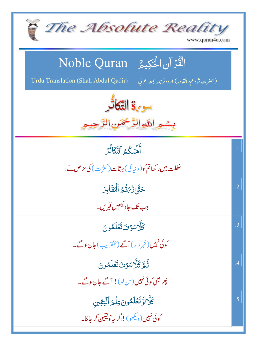| The Absolute Reality<br>www.quran4u.com                                                                                |                 |  |
|------------------------------------------------------------------------------------------------------------------------|-----------------|--|
| الْقُرْآنِ الْمَكِيمُ Noble Quran<br>Urdu Translation (Shah Abdul Qadir)<br>(حضرت شاه عبد القادر) اردوتر جمه بمعه عربي |                 |  |
| سو 3% التّكاثر<br>بسمير اللوالرَّحْمَنِ الرَّحِ                                                                        |                 |  |
| أَلْمَنكُمُ ٱلتَّكَاثُرُ<br>غفلت میں رکھاتم کو( د نیا کی) بہتات( کثر ت) کی حرص نے،                                     | $\overline{.1}$ |  |
| حَقَّ رُّئْ تُّجْ أَلْهَقَابِرَ<br>جب تک حاد <del>یکھیں قبر پ</del> ۔                                                  | $\cdot$ .2      |  |
| كَلَّاسَوْنَتَعَلَّمُونَ<br>کوئی نہیں (خمر دار) آگے (عنقریب) جان لوگے۔                                                 | .3              |  |
| ثُمَّ كَلَّاسَوُفَتَعْلَمُونَ<br>پھر بھی کوئی نہیں (س لو)! آگے جان لوگے۔                                               | .4              |  |
| كَلَّالَوَتَعَلَّمُونَ عِلْمَ ٱلْيَقِينِ<br>کوئی نہیں (دیکھو) !اگر حانویقین کر جاننا۔                                  | .5              |  |